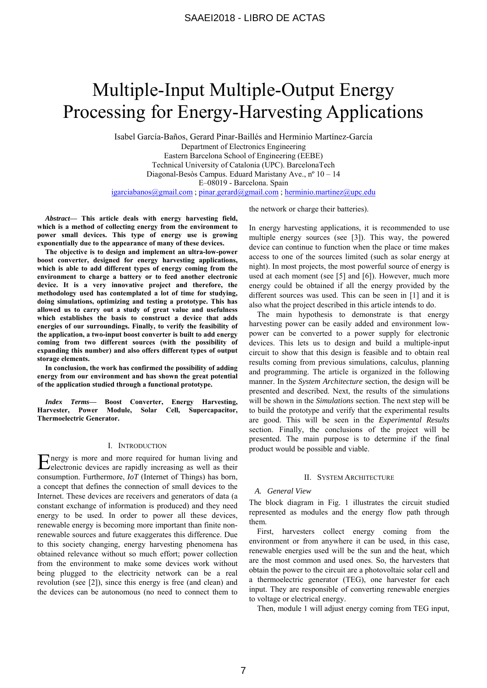# Multiple-Input Multiple-Output Energy Processing for Energy-Harvesting Applications

Isabel García-Baños, Gerard Pinar-Baillés and Herminio Martínez-García Department of Electronics Engineering Eastern Barcelona School of Engineering (EEBE) Technical University of Catalonia (UPC). BarcelonaTech Diagonal-Besòs Campus. Eduard Maristany Ave., nº 10 – 14 E–08019 - Barcelona. Spain igarciabanos@gmail.com ; pinar.gerard@gmail.com ; herminio.martinez@upc.edu

*Abstract***— This article deals with energy harvesting field, which is a method of collecting energy from the environment to power small devices. This type of energy use is growing exponentially due to the appearance of many of these devices.** 

**The objective is to design and implement an ultra-low-power boost converter, designed for energy harvesting applications, which is able to add different types of energy coming from the environment to charge a battery or to feed another electronic device. It is a very innovative project and therefore, the methodology used has contemplated a lot of time for studying, doing simulations, optimizing and testing a prototype. This has allowed us to carry out a study of great value and usefulness which establishes the basis to construct a device that adds energies of our surroundings. Finally, to verify the feasibility of the application, a two-input boost converter is built to add energy coming from two different sources (with the possibility of expanding this number) and also offers different types of output storage elements.** 

**In conclusion, the work has confirmed the possibility of adding energy from our environment and has shown the great potential of the application studied through a functional prototype.** 

*Index Terms***— Boost Converter, Energy Harvesting, Harvester, Power Module, Solar Cell, Supercapacitor, Thermoelectric Generator.** 

#### I. INTRODUCTION

Energy is more and more required for human living and electronic devices are rapidly increasing as well as their electronic devices are rapidly increasing as well as their consumption. Furthermore, *IoT* (Internet of Things) has born, a concept that defines the connection of small devices to the Internet. These devices are receivers and generators of data (a constant exchange of information is produced) and they need energy to be used. In order to power all these devices, renewable energy is becoming more important than finite nonrenewable sources and future exaggerates this difference. Due to this society changing, energy harvesting phenomena has obtained relevance without so much effort; power collection from the environment to make some devices work without being plugged to the electricity network can be a real revolution (see [2]), since this energy is free (and clean) and the devices can be autonomous (no need to connect them to

the network or charge their batteries).

In energy harvesting applications, it is recommended to use multiple energy sources (see [3]). This way, the powered device can continue to function when the place or time makes access to one of the sources limited (such as solar energy at night). In most projects, the most powerful source of energy is used at each moment (see [5] and [6]). However, much more energy could be obtained if all the energy provided by the different sources was used. This can be seen in [1] and it is also what the project described in this article intends to do.

The main hypothesis to demonstrate is that energy harvesting power can be easily added and environment lowpower can be converted to a power supply for electronic devices. This lets us to design and build a multiple-input circuit to show that this design is feasible and to obtain real results coming from previous simulations, calculus, planning and programming. The article is organized in the following manner. In the *System Architecture* section, the design will be presented and described. Next, the results of the simulations will be shown in the *Simulations* section. The next step will be to build the prototype and verify that the experimental results are good. This will be seen in the *Experimental Results* section. Finally, the conclusions of the project will be presented. The main purpose is to determine if the final product would be possible and viable.

#### II. SYSTEM ARCHITECTURE

#### *A. General View*

The block diagram in Fig. 1 illustrates the circuit studied represented as modules and the energy flow path through them.

First, harvesters collect energy coming from the environment or from anywhere it can be used, in this case, renewable energies used will be the sun and the heat, which are the most common and used ones. So, the harvesters that obtain the power to the circuit are a photovoltaic solar cell and a thermoelectric generator (TEG), one harvester for each input. They are responsible of converting renewable energies to voltage or electrical energy.

Then, module 1 will adjust energy coming from TEG input,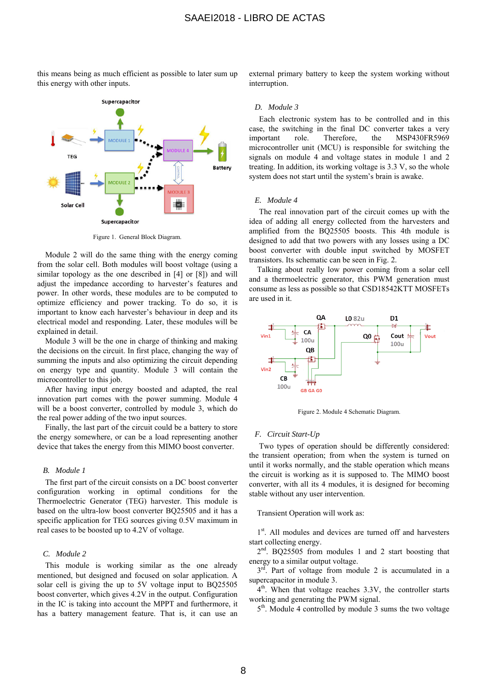this means being as much efficient as possible to later sum up this energy with other inputs.



Figure 1. General Block Diagram.

Module 2 will do the same thing with the energy coming from the solar cell. Both modules will boost voltage (using a similar topology as the one described in [4] or [8]) and will adjust the impedance according to harvester's features and power. In other words, these modules are to be computed to optimize efficiency and power tracking. To do so, it is important to know each harvester's behaviour in deep and its electrical model and responding. Later, these modules will be explained in detail.

Module 3 will be the one in charge of thinking and making the decisions on the circuit. In first place, changing the way of summing the inputs and also optimizing the circuit depending on energy type and quantity. Module 3 will contain the microcontroller to this job.

After having input energy boosted and adapted, the real innovation part comes with the power summing. Module 4 will be a boost converter, controlled by module 3, which do the real power adding of the two input sources.

Finally, the last part of the circuit could be a battery to store the energy somewhere, or can be a load representing another device that takes the energy from this MIMO boost converter.

## *B. Module 1*

The first part of the circuit consists on a DC boost converter configuration working in optimal conditions for the Thermoelectric Generator (TEG) harvester. This module is based on the ultra-low boost converter BQ25505 and it has a specific application for TEG sources giving 0.5V maximum in real cases to be boosted up to 4.2V of voltage.

## *C. Module 2*

This module is working similar as the one already mentioned, but designed and focused on solar application. A solar cell is giving the up to 5V voltage input to BQ25505 boost converter, which gives 4.2V in the output. Configuration in the IC is taking into account the MPPT and furthermore, it has a battery management feature. That is, it can use an external primary battery to keep the system working without interruption.

#### *D. Module 3*

Each electronic system has to be controlled and in this case, the switching in the final DC converter takes a very important role. Therefore, the MSP430FR5969 microcontroller unit (MCU) is responsible for switching the signals on module 4 and voltage states in module 1 and 2 treating. In addition, its working voltage is 3.3 V, so the whole system does not start until the system's brain is awake.

### *E. Module 4*

The real innovation part of the circuit comes up with the idea of adding all energy collected from the harvesters and amplified from the BQ25505 boosts. This 4th module is designed to add that two powers with any losses using a DC boost converter with double input switched by MOSFET transistors. Its schematic can be seen in Fig. 2.

Talking about really low power coming from a solar cell and a thermoelectric generator, this PWM generation must consume as less as possible so that CSD18542KTT MOSFETs are used in it.



Figure 2. Module 4 Schematic Diagram.

## *F. Circuit Start-Up*

Two types of operation should be differently considered: the transient operation; from when the system is turned on until it works normally, and the stable operation which means the circuit is working as it is supposed to. The MIMO boost converter, with all its 4 modules, it is designed for becoming stable without any user intervention.

Transient Operation will work as:

1<sup>st</sup>. All modules and devices are turned off and harvesters start collecting energy.

2<sup>nd</sup>. BQ25505 from modules 1 and 2 start boosting that energy to a similar output voltage.

 $3<sup>rd</sup>$ . Part of voltage from module 2 is accumulated in a supercapacitor in module 3.

 $4<sup>th</sup>$ . When that voltage reaches 3.3V, the controller starts working and generating the PWM signal.

5<sup>th</sup>. Module 4 controlled by module 3 sums the two voltage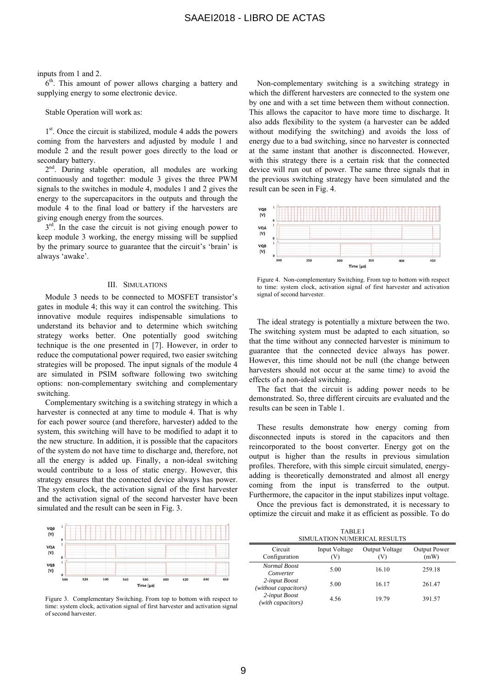#### inputs from 1 and 2.

 $6<sup>th</sup>$ . This amount of power allows charging a battery and supplying energy to some electronic device.

## Stable Operation will work as:

1<sup>st</sup>. Once the circuit is stabilized, module 4 adds the powers coming from the harvesters and adjusted by module 1 and module 2 and the result power goes directly to the load or secondary battery.

 $2<sup>nd</sup>$ . During stable operation, all modules are working continuously and together: module 3 gives the three PWM signals to the switches in module 4, modules 1 and 2 gives the energy to the supercapacitors in the outputs and through the module 4 to the final load or battery if the harvesters are giving enough energy from the sources.

 $3<sup>rd</sup>$ . In the case the circuit is not giving enough power to keep module 3 working, the energy missing will be supplied by the primary source to guarantee that the circuit's 'brain' is always 'awake'.

## III. SIMULATIONS

Module 3 needs to be connected to MOSFET transistor's gates in module 4; this way it can control the switching. This innovative module requires indispensable simulations to understand its behavior and to determine which switching strategy works better. One potentially good switching technique is the one presented in [7]. However, in order to reduce the computational power required, two easier switching strategies will be proposed. The input signals of the module 4 are simulated in PSIM software following two switching options: non-complementary switching and complementary switching.

Complementary switching is a switching strategy in which a harvester is connected at any time to module 4. That is why for each power source (and therefore, harvester) added to the system, this switching will have to be modified to adapt it to the new structure. In addition, it is possible that the capacitors of the system do not have time to discharge and, therefore, not all the energy is added up. Finally, a non-ideal switching would contribute to a loss of static energy. However, this strategy ensures that the connected device always has power. The system clock, the activation signal of the first harvester and the activation signal of the second harvester have been simulated and the result can be seen in Fig. 3.



Figure 3. Complementary Switching. From top to bottom with respect to time: system clock, activation signal of first harvester and activation signal of second harvester.

Non-complementary switching is a switching strategy in which the different harvesters are connected to the system one by one and with a set time between them without connection. This allows the capacitor to have more time to discharge. It also adds flexibility to the system (a harvester can be added without modifying the switching) and avoids the loss of energy due to a bad switching, since no harvester is connected at the same instant that another is disconnected. However, with this strategy there is a certain risk that the connected device will run out of power. The same three signals that in the previous switching strategy have been simulated and the result can be seen in Fig. 4.



Figure 4. Non-complementary Switching. From top to bottom with respect to time: system clock, activation signal of first harvester and activation signal of second harvester.

The ideal strategy is potentially a mixture between the two. The switching system must be adapted to each situation, so that the time without any connected harvester is minimum to guarantee that the connected device always has power. However, this time should not be null (the change between harvesters should not occur at the same time) to avoid the effects of a non-ideal switching.

The fact that the circuit is adding power needs to be demonstrated. So, three different circuits are evaluated and the results can be seen in Table 1.

These results demonstrate how energy coming from disconnected inputs is stored in the capacitors and then reincorporated to the boost converter. Energy got on the output is higher than the results in previous simulation profiles. Therefore, with this simple circuit simulated, energyadding is theoretically demonstrated and almost all energy coming from the input is transferred to the output. Furthermore, the capacitor in the input stabilizes input voltage.

Once the previous fact is demonstrated, it is necessary to optimize the circuit and make it as efficient as possible. To do

| <b>TABLEI</b>                |
|------------------------------|
| SIMULATION NUMERICAL RESULTS |

| Circuit<br>Configuration              | Input Voltage<br>V) | Output Voltage<br>(V) | Output Power<br>(mW) |  |
|---------------------------------------|---------------------|-----------------------|----------------------|--|
| Normal Boost<br>Converter             | 5.00                | 16.10                 | 259.18               |  |
| 2-input Boost<br>(without capacitors) | 5.00                | 16.17                 | 261.47               |  |
| 2-input Boost<br>(with capacitors)    | 4.56                | 19.79                 | 391.57               |  |